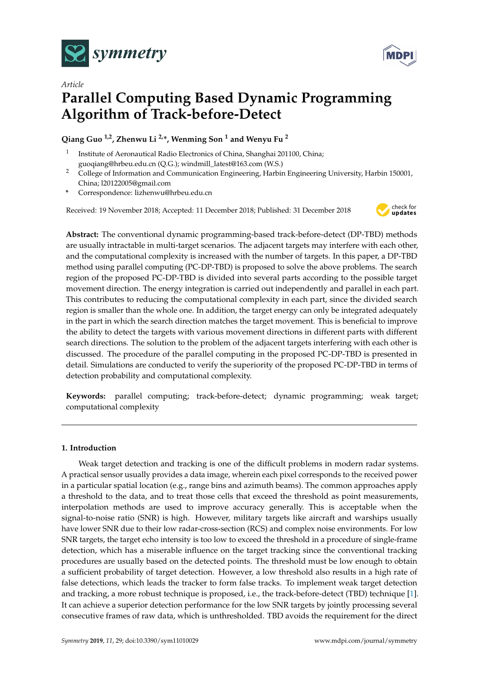



# *Article* **Parallel Computing Based Dynamic Programming Algorithm of Track-before-Detect**

## **Qiang Guo 1,2, Zhenwu Li 2,\*, Wenming Son <sup>1</sup> and Wenyu Fu <sup>2</sup>**

- 1 Institute of Aeronautical Radio Electronics of China, Shanghai 201100, China; guoqiang@hrbeu.edu.cn (Q.G.); windmill\_latest@163.com (W.S.)
- <sup>2</sup> College of Information and Communication Engineering, Harbin Engineering University, Harbin 150001, China; l20122005@gmail.com
- **\*** Correspondence: lizhenwu@hrbeu.edu.cn

Received: 19 November 2018; Accepted: 11 December 2018; Published: 31 December 2018



**Abstract:** The conventional dynamic programming-based track-before-detect (DP-TBD) methods are usually intractable in multi-target scenarios. The adjacent targets may interfere with each other, and the computational complexity is increased with the number of targets. In this paper, a DP-TBD method using parallel computing (PC-DP-TBD) is proposed to solve the above problems. The search region of the proposed PC-DP-TBD is divided into several parts according to the possible target movement direction. The energy integration is carried out independently and parallel in each part. This contributes to reducing the computational complexity in each part, since the divided search region is smaller than the whole one. In addition, the target energy can only be integrated adequately in the part in which the search direction matches the target movement. This is beneficial to improve the ability to detect the targets with various movement directions in different parts with different search directions. The solution to the problem of the adjacent targets interfering with each other is discussed. The procedure of the parallel computing in the proposed PC-DP-TBD is presented in detail. Simulations are conducted to verify the superiority of the proposed PC-DP-TBD in terms of detection probability and computational complexity.

**Keywords:** parallel computing; track-before-detect; dynamic programming; weak target; computational complexity

## **1. Introduction**

Weak target detection and tracking is one of the difficult problems in modern radar systems. A practical sensor usually provides a data image, wherein each pixel corresponds to the received power in a particular spatial location (e.g., range bins and azimuth beams). The common approaches apply a threshold to the data, and to treat those cells that exceed the threshold as point measurements, interpolation methods are used to improve accuracy generally. This is acceptable when the signal-to-noise ratio (SNR) is high. However, military targets like aircraft and warships usually have lower SNR due to their low radar-cross-section (RCS) and complex noise environments. For low SNR targets, the target echo intensity is too low to exceed the threshold in a procedure of single-frame detection, which has a miserable influence on the target tracking since the conventional tracking procedures are usually based on the detected points. The threshold must be low enough to obtain a sufficient probability of target detection. However, a low threshold also results in a high rate of false detections, which leads the tracker to form false tracks. To implement weak target detection and tracking, a more robust technique is proposed, i.e., the track-before-detect (TBD) technique [\[1\]](#page-11-0). It can achieve a superior detection performance for the low SNR targets by jointly processing several consecutive frames of raw data, which is unthresholded. TBD avoids the requirement for the direct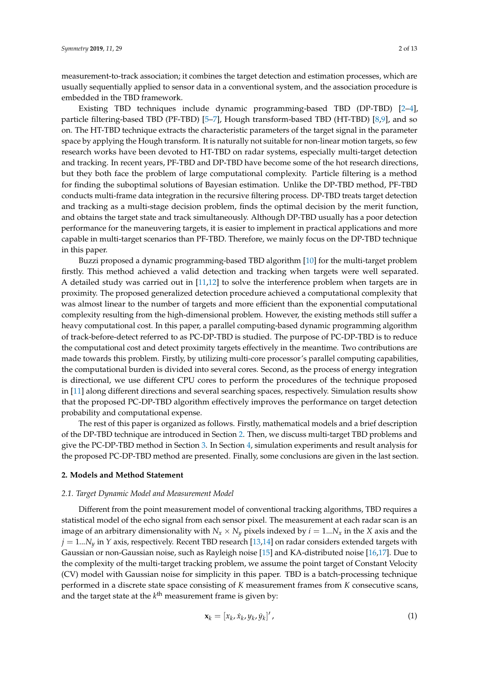measurement-to-track association; it combines the target detection and estimation processes, which are usually sequentially applied to sensor data in a conventional system, and the association procedure is embedded in the TBD framework.

Existing TBD techniques include dynamic programming-based TBD (DP-TBD) [\[2](#page-11-1)[–4\]](#page-12-0), particle filtering-based TBD (PF-TBD) [\[5–](#page-12-1)[7\]](#page-12-2), Hough transform-based TBD (HT-TBD) [\[8](#page-12-3)[,9\]](#page-12-4), and so on. The HT-TBD technique extracts the characteristic parameters of the target signal in the parameter space by applying the Hough transform. It is naturally not suitable for non-linear motion targets, so few research works have been devoted to HT-TBD on radar systems, especially multi-target detection and tracking. In recent years, PF-TBD and DP-TBD have become some of the hot research directions, but they both face the problem of large computational complexity. Particle filtering is a method for finding the suboptimal solutions of Bayesian estimation. Unlike the DP-TBD method, PF-TBD conducts multi-frame data integration in the recursive filtering process. DP-TBD treats target detection and tracking as a multi-stage decision problem, finds the optimal decision by the merit function, and obtains the target state and track simultaneously. Although DP-TBD usually has a poor detection performance for the maneuvering targets, it is easier to implement in practical applications and more capable in multi-target scenarios than PF-TBD. Therefore, we mainly focus on the DP-TBD technique in this paper.

Buzzi proposed a dynamic programming-based TBD algorithm [\[10\]](#page-12-5) for the multi-target problem firstly. This method achieved a valid detection and tracking when targets were well separated. A detailed study was carried out in [\[11,](#page-12-6)[12\]](#page-12-7) to solve the interference problem when targets are in proximity. The proposed generalized detection procedure achieved a computational complexity that was almost linear to the number of targets and more efficient than the exponential computational complexity resulting from the high-dimensional problem. However, the existing methods still suffer a heavy computational cost. In this paper, a parallel computing-based dynamic programming algorithm of track-before-detect referred to as PC-DP-TBD is studied. The purpose of PC-DP-TBD is to reduce the computational cost and detect proximity targets effectively in the meantime. Two contributions are made towards this problem. Firstly, by utilizing multi-core processor's parallel computing capabilities, the computational burden is divided into several cores. Second, as the process of energy integration is directional, we use different CPU cores to perform the procedures of the technique proposed in [\[11\]](#page-12-6) along different directions and several searching spaces, respectively. Simulation results show that the proposed PC-DP-TBD algorithm effectively improves the performance on target detection probability and computational expense.

The rest of this paper is organized as follows. Firstly, mathematical models and a brief description of the DP-TBD technique are introduced in Section [2.](#page-1-0) Then, we discuss multi-target TBD problems and give the PC-DP-TBD method in Section [3.](#page-3-0) In Section [4,](#page-6-0) simulation experiments and result analysis for the proposed PC-DP-TBD method are presented. Finally, some conclusions are given in the last section.

### <span id="page-1-0"></span>**2. Models and Method Statement**

#### <span id="page-1-2"></span>*2.1. Target Dynamic Model and Measurement Model*

Different from the point measurement model of conventional tracking algorithms, TBD requires a statistical model of the echo signal from each sensor pixel. The measurement at each radar scan is an image of an arbitrary dimensionality with  $N_x \times N_y$  pixels indexed by  $i = 1...N_x$  in the *X* axis and the  $j = 1...N_v$  in *Y* axis, respectively. Recent TBD research [\[13](#page-12-8)[,14\]](#page-12-9) on radar considers extended targets with Gaussian or non-Gaussian noise, such as Rayleigh noise [\[15\]](#page-12-10) and KA-distributed noise [\[16,](#page-12-11)[17\]](#page-12-12). Due to the complexity of the multi-target tracking problem, we assume the point target of Constant Velocity (CV) model with Gaussian noise for simplicity in this paper. TBD is a batch-processing technique performed in a discrete state space consisting of *K* measurement frames from *K* consecutive scans, and the target state at the *k*<sup>th</sup> measurement frame is given by:

<span id="page-1-1"></span>
$$
\mathbf{x}_{k} = [x_{k}, \dot{x}_{k}, y_{k}, \dot{y}_{k}]', \tag{1}
$$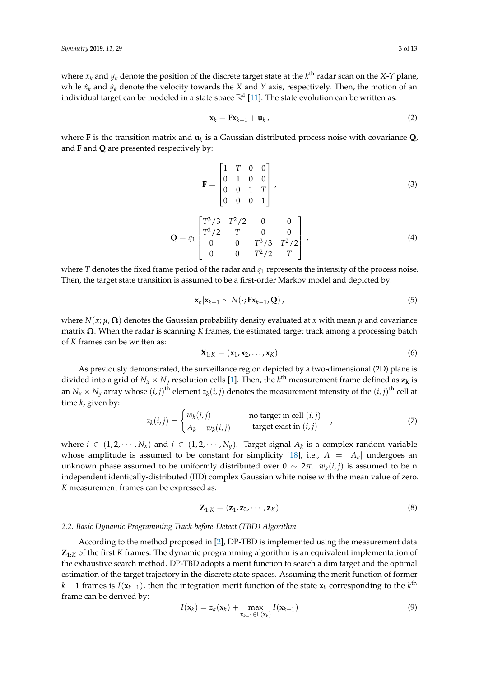where  $x_k$  and  $y_k$  denote the position of the discrete target state at the  $k^{\text{th}}$  radar scan on the *X*-*Y* plane, while  $\dot{x}_k$  and  $\dot{y}_k$  denote the velocity towards the *X* and *Y* axis, respectively. Then, the motion of an individual target can be modeled in a state space  $\mathbb{R}^4$  [\[11\]](#page-12-6). The state evolution can be written as:

$$
\mathbf{x}_k = \mathbf{F} \mathbf{x}_{k-1} + \mathbf{u}_k \tag{2}
$$

where **F** is the transition matrix and **u***<sup>k</sup>* is a Gaussian distributed process noise with covariance **Q**, and **F** and **Q** are presented respectively by:

$$
\mathbf{F} = \begin{bmatrix} 1 & T & 0 & 0 \\ 0 & 1 & 0 & 0 \\ 0 & 0 & 1 & T \\ 0 & 0 & 0 & 1 \end{bmatrix},
$$
 (3)

$$
\mathbf{Q} = q_1 \begin{bmatrix} T^3/3 & T^2/2 & 0 & 0 \\ T^2/2 & T & 0 & 0 \\ 0 & 0 & T^3/3 & T^2/2 \\ 0 & 0 & T^2/2 & T \end{bmatrix},
$$
(4)

where *T* denotes the fixed frame period of the radar and  $q_1$  represents the intensity of the process noise. Then, the target state transition is assumed to be a first-order Markov model and depicted by:

<span id="page-2-2"></span>
$$
\mathbf{x}_{k}|\mathbf{x}_{k-1} \sim N(\cdot; \mathbf{F}\mathbf{x}_{k-1}, \mathbf{Q})\,,\tag{5}
$$

where  $N(x; \mu, \Omega)$  denotes the Gaussian probability density evaluated at *x* with mean  $\mu$  and covariance matrix **Ω**. When the radar is scanning *K* frames, the estimated target track among a processing batch of *K* frames can be written as:

$$
\mathbf{X}_{1:K} = (\mathbf{x}_1, \mathbf{x}_2, \dots, \mathbf{x}_K) \tag{6}
$$

As previously demonstrated, the surveillance region depicted by a two-dimensional (2D) plane is divided into a grid of  $N_x \times N_y$  resolution cells [\[1\]](#page-11-0). Then, the  $k^{\text{th}}$  measurement frame defined as  $z_k$  is an  $N_x \times N_y$  array whose  $(i, j)$ <sup>th</sup> element  $z_k(i, j)$  denotes the measurement intensity of the  $(i, j)$ <sup>th</sup> cell at time *k*, given by:

<span id="page-2-1"></span>
$$
z_k(i,j) = \begin{cases} w_k(i,j) & \text{no target in cell } (i,j) \\ A_k + w_k(i,j) & \text{target exist in } (i,j) \end{cases}
$$
(7)

where  $i \in (1, 2, \dots, N_x)$  and  $j \in (1, 2, \dots, N_y)$ . Target signal  $A_k$  is a complex random variable whose amplitude is assumed to be constant for simplicity [\[18\]](#page-12-13), i.e.,  $A = |A_k|$  undergoes an unknown phase assumed to be uniformly distributed over  $0 \sim 2\pi$ .  $w_k(i,j)$  is assumed to be n independent identically-distributed (IID) complex Gaussian white noise with the mean value of zero. *K* measurement frames can be expressed as:

$$
\mathbf{Z}_{1:K} = (\mathbf{z}_1, \mathbf{z}_2, \cdots, \mathbf{z}_K) \tag{8}
$$

## <span id="page-2-0"></span>*2.2. Basic Dynamic Programming Track-before-Detect (TBD) Algorithm*

According to the method proposed in [\[2\]](#page-11-1), DP-TBD is implemented using the measurement data **Z**1:*<sup>K</sup>* of the first *K* frames. The dynamic programming algorithm is an equivalent implementation of the exhaustive search method. DP-TBD adopts a merit function to search a dim target and the optimal estimation of the target trajectory in the discrete state spaces. Assuming the merit function of former *k* − 1 frames is *I*( $\mathbf{x}_{k-1}$ ), then the integration merit function of the state  $\mathbf{x}_k$  corresponding to the *k*<sup>th</sup> frame can be derived by:

$$
I(\mathbf{x}_k) = z_k(\mathbf{x}_k) + \max_{\mathbf{x}_{k-1} \in \Gamma(\mathbf{x}_k)} I(\mathbf{x}_{k-1})
$$
\n(9)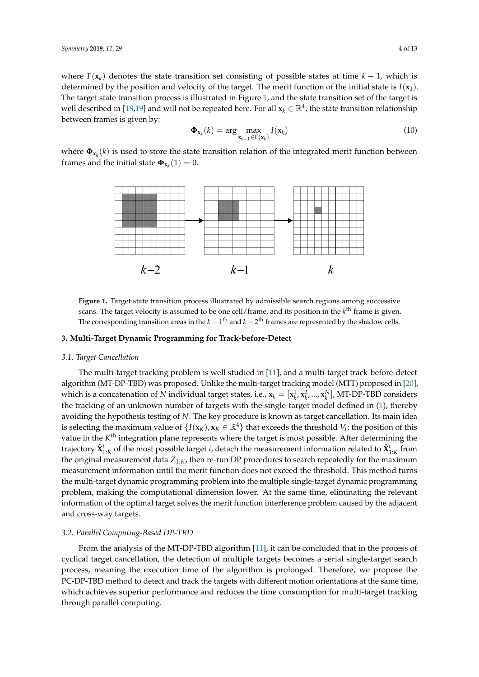where  $\Gamma(\mathbf{x}_k)$  denotes the state transition set consisting of possible states at time  $k-1$ , which is determined by the position and velocity of the target. The merit function of the initial state is *I*(**x**1). The target state transition process is illustrated in Figure [1,](#page-3-1) and the state transition set of the target is well described in [\[18,](#page-12-13)[19\]](#page-12-14) and will not be repeated here. For all  $x_k \in \mathbb{R}^4$ , the state transition relationship between frames is given by:

<span id="page-3-2"></span>
$$
\mathbf{\Phi}_{\mathbf{x}_k}(k) = \arg \max_{\mathbf{x}_{k-1} \in \Gamma(\mathbf{x}_k)} I(\mathbf{x}_k)
$$
\n(10)

<span id="page-3-1"></span>where **Φx***<sup>k</sup>* (*k*) is used to store the state transition relation of the integrated merit function between frames and the initial state  $\mathbf{\Phi}_{\mathbf{x}_k}(1) = 0$ .



**Figure 1.** Target state transition process illustrated by admissible search regions among successive scans. The target velocity is assumed to be one cell/frame, and its position in the k<sup>th</sup> frame is given. The corresponding transition areas in the  $k-1$ <sup>th</sup> and  $k-2$ <sup>th</sup> frames are represented by the shadow cells.

## <span id="page-3-0"></span>**3. Multi-Target Dynamic Programming for Track-before-Detect**

#### *3.1. Target Cancellation*

The multi-target tracking problem is well studied in [\[11\]](#page-12-6), and a multi-target track-before-detect algorithm (MT-DP-TBD) was proposed. Unlike the multi-target tracking model (MTT) proposed in [\[20\]](#page-12-15), which is a concatenation of *N* individual target states, i.e.,  $x_k = [x_k^1, x_k^2, ..., x_k^N]$ , MT-DP-TBD considers the tracking of an unknown number of targets with the single-target model defined in [\(1\)](#page-1-1), thereby avoiding the hypothesis testing of *N*. The key procedure is known as target cancellation. Its main idea is selecting the maximum value of  $\{I(\mathbf{x}_K), \mathbf{x}_K \in \mathbb{R}^4\}$  that exceeds the threshold  $V_t$ ; the position of this value in the K<sup>th</sup> integration plane represents where the target is most possible. After determining the trajectory  $\hat{\mathbf{X}}_{1:K}^i$  of the most possible target *i*, detach the measurement information related to  $\hat{\mathbf{X}}_{1:K}^i$  from the original measurement data  $Z_{1:K}$ , then re-run DP procedures to search repeatedly for the maximum measurement information until the merit function does not exceed the threshold. This method turns the multi-target dynamic programming problem into the multiple single-target dynamic programming problem, making the computational dimension lower. At the same time, eliminating the relevant information of the optimal target solves the merit function interference problem caused by the adjacent and cross-way targets.

#### *3.2. Parallel Computing-Based DP-TBD*

From the analysis of the MT-DP-TBD algorithm [\[11\]](#page-12-6), it can be concluded that in the process of cyclical target cancellation, the detection of multiple targets becomes a serial single-target search process, meaning the execution time of the algorithm is prolonged. Therefore, we propose the PC-DP-TBD method to detect and track the targets with different motion orientations at the same time, which achieves superior performance and reduces the time consumption for multi-target tracking through parallel computing.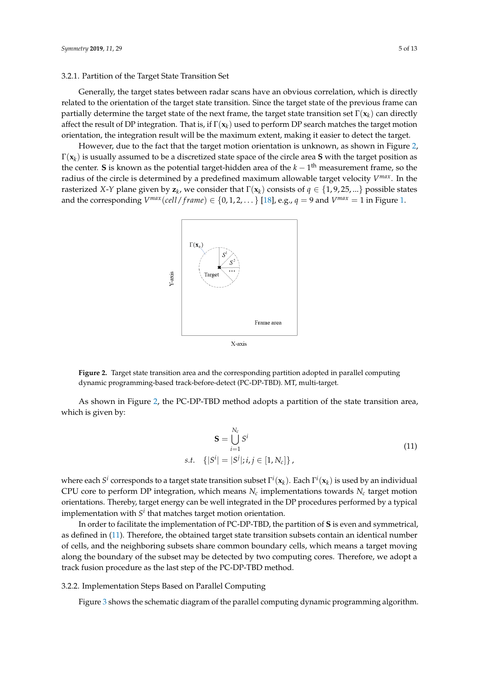#### <span id="page-4-2"></span>3.2.1. Partition of the Target State Transition Set

Generally, the target states between radar scans have an obvious correlation, which is directly related to the orientation of the target state transition. Since the target state of the previous frame can partially determine the target state of the next frame, the target state transition set  $\Gamma(\mathbf{x}_k)$  can directly affect the result of DP integration. That is, if Γ(**x***<sup>k</sup>* ) used to perform DP search matches the target motion orientation, the integration result will be the maximum extent, making it easier to detect the target.

<span id="page-4-0"></span>However, due to the fact that the target motion orientation is unknown, as shown in Figure [2,](#page-4-0) Γ(**x***<sup>k</sup>* ) is usually assumed to be a discretized state space of the circle area **S** with the target position as the center. **S** is known as the potential target-hidden area of the *k* − 1 th measurement frame, so the radius of the circle is determined by a predefined maximum allowable target velocity *V max*. In the rasterized *X*-*Y* plane given by  $z_k$ , we consider that  $\Gamma(x_k)$  consists of  $q \in \{1, 9, 25, ...\}$  possible states and the corresponding  $V^{max}(cell / frame) \in \{0, 1, 2, \dots\}$  [\[18\]](#page-12-13), e.g.,  $q = 9$  and  $V^{max} = 1$  in Figure [1.](#page-3-1)



**Figure 2.** Target state transition area and the corresponding partition adopted in parallel computing dynamic programming-based track-before-detect (PC-DP-TBD). MT, multi-target.

As shown in Figure [2,](#page-4-0) the PC-DP-TBD method adopts a partition of the state transition area, which is given by:

$$
\mathbf{S} = \bigcup_{i=1}^{N_c} S^i
$$
  
s.t. { $|S^i| = |S^j|; i, j \in [1, N_c] \}$ , (11)

<span id="page-4-1"></span>where each *S i* corresponds to a target state transition subset Γ *i* (**x***<sup>k</sup>* ). Each Γ *i* (**x***<sup>k</sup>* ) is used by an individual CPU core to perform DP integration, which means  $N_c$  implementations towards  $N_c$  target motion orientations. Thereby, target energy can be well integrated in the DP procedures performed by a typical implementation with  $S^i$  that matches target motion orientation.

In order to facilitate the implementation of PC-DP-TBD, the partition of **S** is even and symmetrical, as defined in [\(11\)](#page-4-1). Therefore, the obtained target state transition subsets contain an identical number of cells, and the neighboring subsets share common boundary cells, which means a target moving along the boundary of the subset may be detected by two computing cores. Therefore, we adopt a track fusion procedure as the last step of the PC-DP-TBD method.

## <span id="page-4-3"></span>3.2.2. Implementation Steps Based on Parallel Computing

Figure [3](#page-5-0) shows the schematic diagram of the parallel computing dynamic programming algorithm.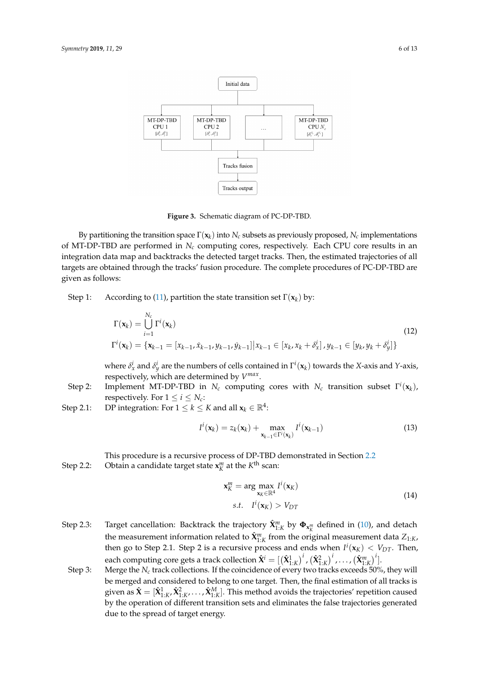<span id="page-5-0"></span>

**Figure 3.** Schematic diagram of PC-DP-TBD.

By partitioning the transition space  $\Gamma(\mathbf{x}_k)$  into  $N_c$  subsets as previously proposed,  $N_c$  implementations of MT-DP-TBD are performed in  $N_c$  computing cores, respectively. Each CPU core results in an integration data map and backtracks the detected target tracks. Then, the estimated trajectories of all targets are obtained through the tracks' fusion procedure. The complete procedures of PC-DP-TBD are given as follows:

Step 1: According to [\(11\)](#page-4-1), partition the state transition set  $\Gamma(\mathbf{x}_k)$  by:

<span id="page-5-1"></span>
$$
\Gamma(\mathbf{x}_{k}) = \bigcup_{i=1}^{N_{c}} \Gamma^{i}(\mathbf{x}_{k})
$$
\n
$$
\Gamma^{i}(\mathbf{x}_{k}) = \{ \mathbf{x}_{k-1} = [x_{k-1}, \dot{x}_{k-1}, y_{k-1}, y_{k-1}] | x_{k-1} \in [x_{k}, x_{k} + \delta_{x}^{i}], y_{k-1} \in [y_{k}, y_{k} + \delta_{y}^{i}] \}
$$
\n
$$
(12)
$$

where  $\delta_x^i$  and  $\delta_y^i$  are the numbers of cells contained in  $\Gamma^i(\mathbf{x}_k)$  towards the *X*-axis and *Y*-axis, respectively, which are determined by *V max* .

- Step 2: Implement MT-DP-TBD in  $N_c$  computing cores with  $N_c$  transition subset  $\Gamma^i(\mathbf{x}_k)$ , respectively. For  $1 \le i \le N_c$ :
- Step 2.1: DP integration: For  $1 \le k \le K$  and all  $\mathbf{x}_k \in \mathbb{R}^4$ :

$$
I^{i}(\mathbf{x}_{k}) = z_{k}(\mathbf{x}_{k}) + \max_{\mathbf{x}_{k-1} \in \Gamma^{i}(\mathbf{x}_{k})} I^{i}(\mathbf{x}_{k-1})
$$
\n(13)

This procedure is a recursive process of DP-TBD demonstrated in Section [2.2](#page-2-0) Step 2.2: Obtain a candidate target state  $\mathbf{x}_{K}^{m}$  at the  $K^{\text{th}}$  scan:

$$
\mathbf{x}_{K}^{m} = \arg \max_{\mathbf{x}_{K} \in \mathbb{R}^{4}} I^{i}(\mathbf{x}_{K})
$$
  
s.t.  $I^{i}(\mathbf{x}_{K}) > V_{DT}$  (14)

- Step 2.3: Target cancellation: Backtrack the trajectory  $\hat{\mathbf{X}}_{1:K}^m$  by  $\mathbf{\Phi}_{\mathbf{x}_K^m}$  defined in [\(10\)](#page-3-2), and detach the measurement information related to  $\hat{\mathbf{X}}_{1:K}^m$  from the original measurement data  $Z_{1:K}$ , then go to Step 2.1. Step 2 is a recursive process and ends when  $I^i(\mathbf{x}_K) < V_{DT}$ . Then, each computing core gets a track collection  $\hat{\mathbf{X}}^{i} = [\left( \hat{\mathbf{X}}_{1:K}^{1} \right)^{i}$  ,  $\left( \hat{\mathbf{X}}_{2:K}^{2} \right)^{i}$  ,  $\dots$  ,  $\left( \hat{\mathbf{X}}_{1:K}^{m} \right)^{i}$  ].
- Step 3: Merge the  $N_c$  track collections. If the coincidence of every two tracks exceeds 50%, they will be merged and considered to belong to one target. Then, the final estimation of all tracks is given as  $\hat{\bf X}=[\hat{\bf X}_{1:K}^1,\hat{\bf X}_{1:K}^2,\ldots,\hat{\bf X}_{1:K}^M].$  This method avoids the trajectories' repetition caused by the operation of different transition sets and eliminates the false trajectories generated due to the spread of target energy.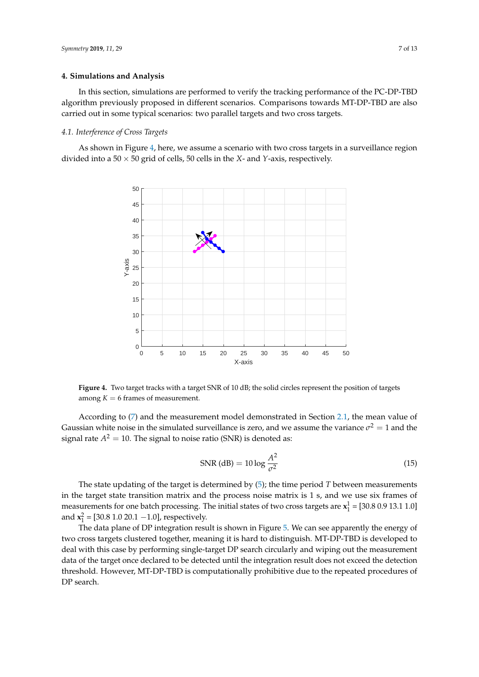#### <span id="page-6-0"></span>**4. Simulations and Analysis**

In this section, simulations are performed to verify the tracking performance of the PC-DP-TBD algorithm previously proposed in different scenarios. Comparisons towards MT-DP-TBD are also carried out in some typical scenarios: two parallel targets and two cross targets.

#### *4.1. Interference of Cross Targets*

<span id="page-6-1"></span>As shown in Figure [4,](#page-6-1) here, we assume a scenario with two cross targets in a surveillance region divided into a 50 × 50 grid of cells, 50 cells in the *X*- and *Y*-axis, respectively.



**Figure 4.** Two target tracks with a target SNR of 10 dB; the solid circles represent the position of targets among  $K = 6$  frames of measurement.

According to [\(7\)](#page-2-1) and the measurement model demonstrated in Section [2.1,](#page-1-2) the mean value of Gaussian white noise in the simulated surveillance is zero, and we assume the variance  $\sigma^2=1$  and the signal rate  $A^2 = 10$ . The signal to noise ratio (SNR) is denoted as:

$$
\text{SNR (dB)} = 10 \log \frac{A^2}{\sigma^2} \tag{15}
$$

The state updating of the target is determined by [\(5\)](#page-2-2); the time period *T* between measurements in the target state transition matrix and the process noise matrix is 1 s, and we use six frames of measurements for one batch processing. The initial states of two cross targets are  $\mathbf{x}_1^1$  = [30.8 0.9 13.1 1.0] and  $x_1^2 = [30.8 \, 1.0 \, 20.1 \, -1.0]$ , respectively.

The data plane of DP integration result is shown in Figure [5.](#page-7-0) We can see apparently the energy of two cross targets clustered together, meaning it is hard to distinguish. MT-DP-TBD is developed to deal with this case by performing single-target DP search circularly and wiping out the measurement data of the target once declared to be detected until the integration result does not exceed the detection threshold. However, MT-DP-TBD is computationally prohibitive due to the repeated procedures of DP search.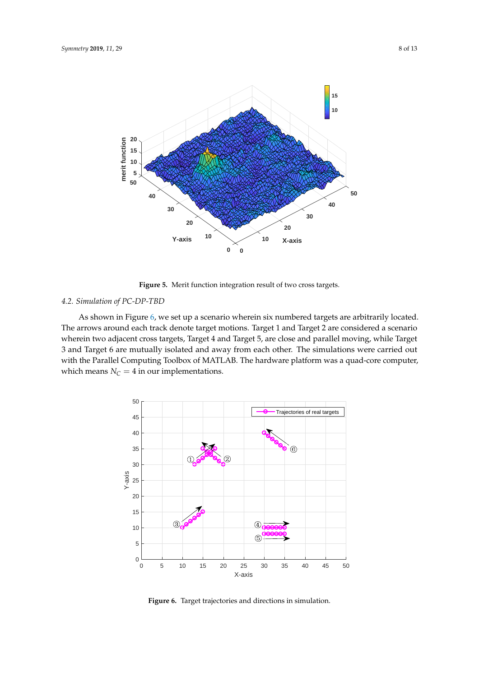<span id="page-7-0"></span>

**Figure 5.** Merit function integration result of two cross targets.

## *4.2. Simulation of PC-DP-TBD*

As shown in Figure [6,](#page-7-1) we set up a scenario wherein six numbered targets are arbitrarily located. The arrows around each track denote target motions. Target 1 and Target 2 are considered a scenario wherein two adjacent cross targets, Target 4 and Target 5, are close and parallel moving, while Target 3 and Target 6 are mutually isolated and away from each other. The simulations were carried out with the Parallel Computing Toolbox of MATLAB. The hardware platform was a quad-core computer, which means  $N_C = 4$  in our implementations.

<span id="page-7-1"></span>

**Figure 6.** Target trajectories and directions in simulation.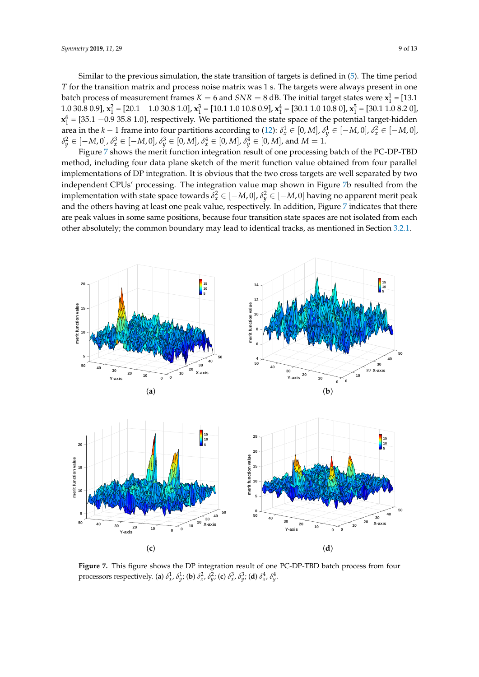Similar to the previous simulation, the state transition of targets is defined in [\(5\)](#page-2-2). The time period *T* for the transition matrix and process noise matrix was 1 s. The targets were always present in one batch process of measurement frames  $K = 6$  and  $SNR = 8$  dB. The initial target states were  $\mathbf{x}_1^1 = [13.1]$ 1.0 30.8 0.9], **x**<sub>1</sub><sup>2</sup> = [20.1 −1.0 30.8 1.0], **x**<sub>1</sub><sup>3</sup> = [10.1 1.0 10.8 0.9], **x**<sub>1</sub><sup>4</sup> = [30.1 1.0 10.8 0], **x**<sub>1</sub><sup>5</sup> = [30.1 1.0 8.2 0],  $\mathbf{x}_1^6$  = [35.1 –0.9 35.8 1.0], respectively. We partitioned the state space of the potential target-hidden area in the *k* − 1 frame into four partitions according to [\(12\)](#page-5-1):  $\delta_x^1 \in [0,M]$ ,  $\delta_y^1 \in [-M,0]$ ,  $\delta_x^2 \in [-M,0]$ ,  $\delta_{y}^{2}\in[-M,0],$   $\delta_{x}^{3}\in[-M,0],$   $\delta_{y}^{3}\in[0,M],$   $\delta_{x}^{4}\in[0,M],$   $\delta_{y}^{4}\in[0,M],$  and  $M=1.$ 

Figure [7](#page-8-0) shows the merit function integration result of one processing batch of the PC-DP-TBD method, including four data plane sketch of the merit function value obtained from four parallel implementations of DP integration. It is obvious that the two cross targets are well separated by two independent CPUs' processing. The integration value map shown in Figure [7b](#page-8-0) resulted from the implementation with state space towards  $\delta^2_x \in [-M,0]$  ,  $\delta^2_y \in [-M,0]$  having no apparent merit peak and the others having at least one peak value, respectively. In addition, Figure [7](#page-8-0) indicates that there are peak values in some same positions, because four transition state spaces are not isolated from each other absolutely; the common boundary may lead to identical tracks, as mentioned in Section [3.2.1.](#page-4-2)

<span id="page-8-0"></span>

**Figure 7.** This figure shows the DP integration result of one PC-DP-TBD batch process from four processors respectively. (a)  $\delta^1_x$ ,  $\delta^1_y$ ; (b)  $\delta^2_x$ ,  $\delta^2_y$ ; (c)  $\delta^3_x$ ,  $\delta^3_y$ ; (d)  $\delta^4_x$ ,  $\delta^4_y$ .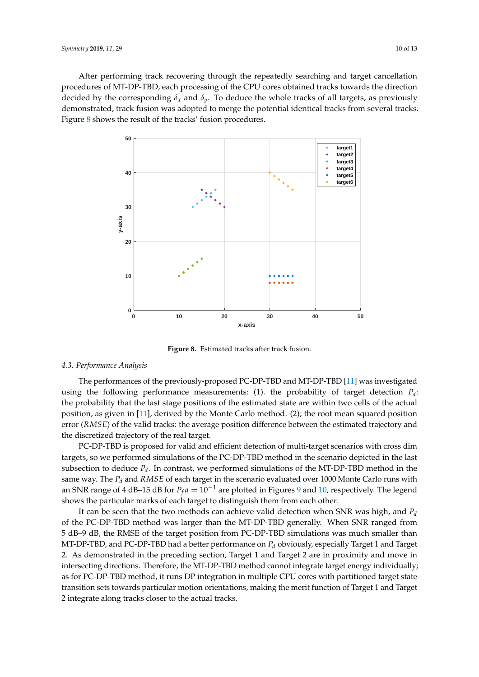After performing track recovering through the repeatedly searching and target cancellation procedures of MT-DP-TBD, each processing of the CPU cores obtained tracks towards the direction decided by the corresponding  $\delta_x$  and  $\delta_y$ . To deduce the whole tracks of all targets, as previously demonstrated, track fusion was adopted to merge the potential identical tracks from several tracks. Figure [8](#page-9-0) shows the result of the tracks' fusion procedures.

<span id="page-9-0"></span>

**Figure 8.** Estimated tracks after track fusion.

## *4.3. Performance Analysis*

The performances of the previously-proposed PC-DP-TBD and MT-DP-TBD [\[11\]](#page-12-6) was investigated using the following performance measurements: (1). the probability of target detection  $P_d$ : the probability that the last stage positions of the estimated state are within two cells of the actual position, as given in [\[11\]](#page-12-6), derived by the Monte Carlo method. (2); the root mean squared position error (*RMSE*) of the valid tracks: the average position difference between the estimated trajectory and the discretized trajectory of the real target.

PC-DP-TBD is proposed for valid and efficient detection of multi-target scenarios with cross dim targets, so we performed simulations of the PC-DP-TBD method in the scenario depicted in the last subsection to deduce *P<sup>d</sup>* . In contrast, we performed simulations of the MT-DP-TBD method in the same way. The *P<sup>d</sup>* and *RMSE* of each target in the scenario evaluated over 1000 Monte Carlo runs with an SNR range of 4 dB–15 dB for  $P_f a = 10^{-1}$  are plotted in Figures [9](#page-10-0) and [10,](#page-10-1) respectively. The legend shows the particular marks of each target to distinguish them from each other.

It can be seen that the two methods can achieve valid detection when SNR was high, and *P<sup>d</sup>* of the PC-DP-TBD method was larger than the MT-DP-TBD generally. When SNR ranged from 5 dB–9 dB, the RMSE of the target position from PC-DP-TBD simulations was much smaller than MT-DP-TBD, and PC-DP-TBD had a better performance on *P<sup>d</sup>* obviously, especially Target 1 and Target 2. As demonstrated in the preceding section, Target 1 and Target 2 are in proximity and move in intersecting directions. Therefore, the MT-DP-TBD method cannot integrate target energy individually; as for PC-DP-TBD method, it runs DP integration in multiple CPU cores with partitioned target state transition sets towards particular motion orientations, making the merit function of Target 1 and Target 2 integrate along tracks closer to the actual tracks.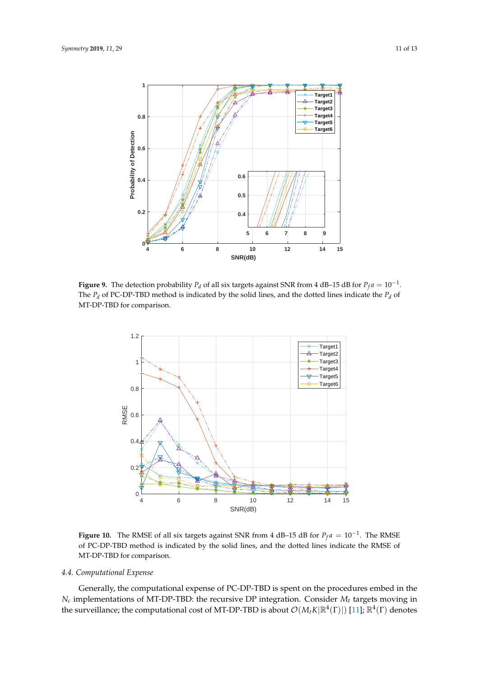<span id="page-10-0"></span>

<span id="page-10-1"></span>**Figure 9.** The detection probability  $P_d$  of all six targets against SNR from 4 dB–15 dB for  $P_f a = 10^{-1}$ . The  $P_d$  of PC-DP-TBD method is indicated by the solid lines, and the dotted lines indicate the  $P_d$  of MT-DP-TBD for comparison.



**Figure 10.** The RMSE of all six targets against SNR from 4 dB–15 dB for  $P_f a = 10^{-1}$ . The RMSE of PC-DP-TBD method is indicated by the solid lines, and the dotted lines indicate the RMSE of MT-DP-TBD for comparison.

## *4.4. Computational Expense*

Generally, the computational expense of PC-DP-TBD is spent on the procedures embed in the *N<sup>c</sup>* implementations of MT-DP-TBD: the recursive DP integration. Consider *M<sup>t</sup>* targets moving in the surveillance; the computational cost of MT-DP-TBD is about  $\mathcal{O}(M_tK|\mathbb{R}^4(\Gamma)|)$  [\[11\]](#page-12-6);  $\mathbb{R}^4(\Gamma)$  denotes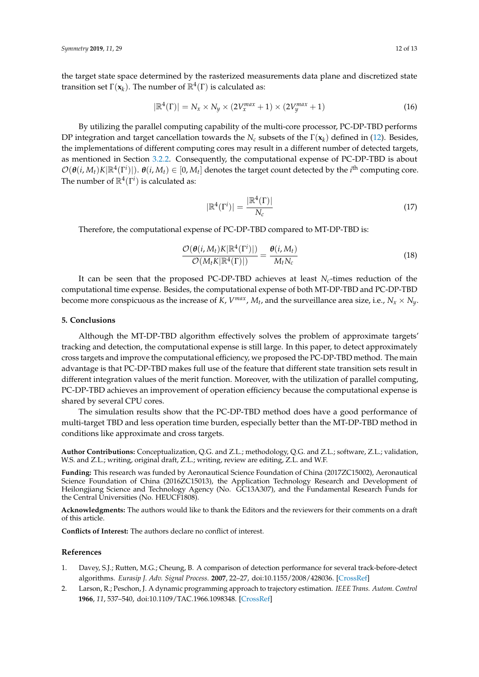the target state space determined by the rasterized measurements data plane and discretized state transition set  $\Gamma(\mathbf{x}_k)$ . The number of  $\mathbb{R}^4(\Gamma)$  is calculated as:

$$
|\mathbb{R}^{4}(\Gamma)| = N_{x} \times N_{y} \times (2V_{x}^{max} + 1) \times (2V_{y}^{max} + 1)
$$
\n(16)

By utilizing the parallel computing capability of the multi-core processor, PC-DP-TBD performs DP integration and target cancellation towards the *N<sup>c</sup>* subsets of the Γ(**x***<sup>k</sup>* ) defined in [\(12\)](#page-5-1). Besides, the implementations of different computing cores may result in a different number of detected targets, as mentioned in Section [3.2.2.](#page-4-3) Consequently, the computational expense of PC-DP-TBD is about  $\mathcal{O}(\theta(i,M_t)K|\mathbb{R}^4(\Gamma^i)|)$ .  $\theta(i,M_t) \in [0,M_t]$  denotes the target count detected by the *i*<sup>th</sup> computing core. The number of  $\mathbb{R}^4(\Gamma^i)$  is calculated as:

$$
|\mathbb{R}^4(\Gamma^i)| = \frac{|\mathbb{R}^4(\Gamma)|}{N_c}
$$
\n(17)

Therefore, the computational expense of PC-DP-TBD compared to MT-DP-TBD is:

$$
\frac{\mathcal{O}(\theta(i, M_t)K|\mathbb{R}^4(\Gamma^i)|)}{\mathcal{O}(M_t K|\mathbb{R}^4(\Gamma)|)} = \frac{\theta(i, M_t)}{M_t N_c}
$$
(18)

It can be seen that the proposed PC-DP-TBD achieves at least *Nc*-times reduction of the computational time expense. Besides, the computational expense of both MT-DP-TBD and PC-DP-TBD become more conspicuous as the increase of *K*, *V*<sup>*max*</sup>, *M*<sub>t</sub>, and the surveillance area size, i.e.,  $N_x \times N_y$ .

#### **5. Conclusions**

Although the MT-DP-TBD algorithm effectively solves the problem of approximate targets' tracking and detection, the computational expense is still large. In this paper, to detect approximately cross targets and improve the computational efficiency, we proposed the PC-DP-TBD method. The main advantage is that PC-DP-TBD makes full use of the feature that different state transition sets result in different integration values of the merit function. Moreover, with the utilization of parallel computing, PC-DP-TBD achieves an improvement of operation efficiency because the computational expense is shared by several CPU cores.

The simulation results show that the PC-DP-TBD method does have a good performance of multi-target TBD and less operation time burden, especially better than the MT-DP-TBD method in conditions like approximate and cross targets.

**Author Contributions:** Conceptualization, Q.G. and Z.L.; methodology, Q.G. and Z.L.; software, Z.L.; validation, W.S. and Z.L.; writing, original draft, Z.L.; writing, review are editing, Z.L. and W.F.

**Funding:** This research was funded by Aeronautical Science Foundation of China (2017ZC15002), Aeronautical Science Foundation of China (2016ZC15013), the Application Technology Research and Development of Heilongjiang Science and Technology Agency (No. GC13A307), and the Fundamental Research Funds for the Central Universities (No. HEUCF1808).

**Acknowledgments:** The authors would like to thank the Editors and the reviewers for their comments on a draft of this article.

**Conflicts of Interest:** The authors declare no conflict of interest.

#### **References**

- <span id="page-11-0"></span>1. Davey, S.J.; Rutten, M.G.; Cheung, B. A comparison of detection performance for several track-before-detect algorithms. *Eurasip J. Adv. Signal Process.* **2007**, 22–27, doi[:10.1155/2008/428036.](https://doi.org/10.1155/2008/428036) [\[CrossRef\]](http://dx.doi.org/10.1155/2008/428036)
- <span id="page-11-1"></span>2. Larson, R.; Peschon, J. A dynamic programming approach to trajectory estimation. *IEEE Trans. Autom. Control* **1966**, *11*, 537–540, doi[:10.1109/TAC.1966.1098348.](https://doi.org/10.1109/TAC.1966.1098348) [\[CrossRef\]](http://dx.doi.org/10.1109/TAC.1966.1098348)